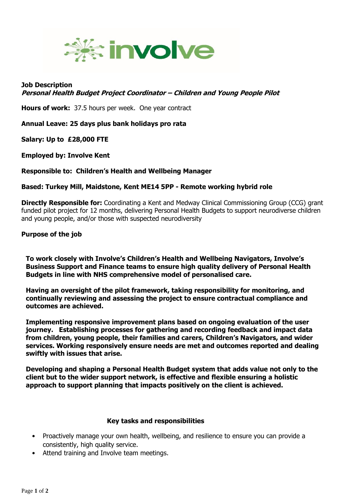

## **Job Description Personal Health Budget Project Coordinator – Children and Young People Pilot**

**Hours of work:** 37.5 hours per week. One year contract

**Annual Leave: 25 days plus bank holidays pro rata**

**Salary: Up to £28,000 FTE**

**Employed by: Involve Kent**

## **Responsible to: Children's Health and Wellbeing Manager**

**Based: Turkey Mill, Maidstone, Kent ME14 5PP - Remote working hybrid role**

**Directly Responsible for:** Coordinating a Kent and Medway Clinical Commissioning Group (CCG) grant funded pilot project for 12 months, delivering Personal Health Budgets to support neurodiverse children and young people, and/or those with suspected neurodiversity

## **Purpose of the job**

**To work closely with Involve's Children's Health and Wellbeing Navigators, Involve's Business Support and Finance teams to ensure high quality delivery of Personal Health Budgets in line with NHS comprehensive model of personalised care.**

**Having an oversight of the pilot framework, taking responsibility for monitoring, and continually reviewing and assessing the project to ensure contractual compliance and outcomes are achieved.** 

**Implementing responsive improvement plans based on ongoing evaluation of the user journey. Establishing processes for gathering and recording feedback and impact data from children, young people, their families and carers, Children's Navigators, and wider services. Working responsively ensure needs are met and outcomes reported and dealing swiftly with issues that arise.** 

**Developing and shaping a Personal Health Budget system that adds value not only to the client but to the wider support network, is effective and flexible ensuring a holistic approach to support planning that impacts positively on the client is achieved.** 

## **Key tasks and responsibilities**

- Proactively manage your own health, wellbeing, and resilience to ensure you can provide a consistently, high quality service.
- Attend training and Involve team meetings.